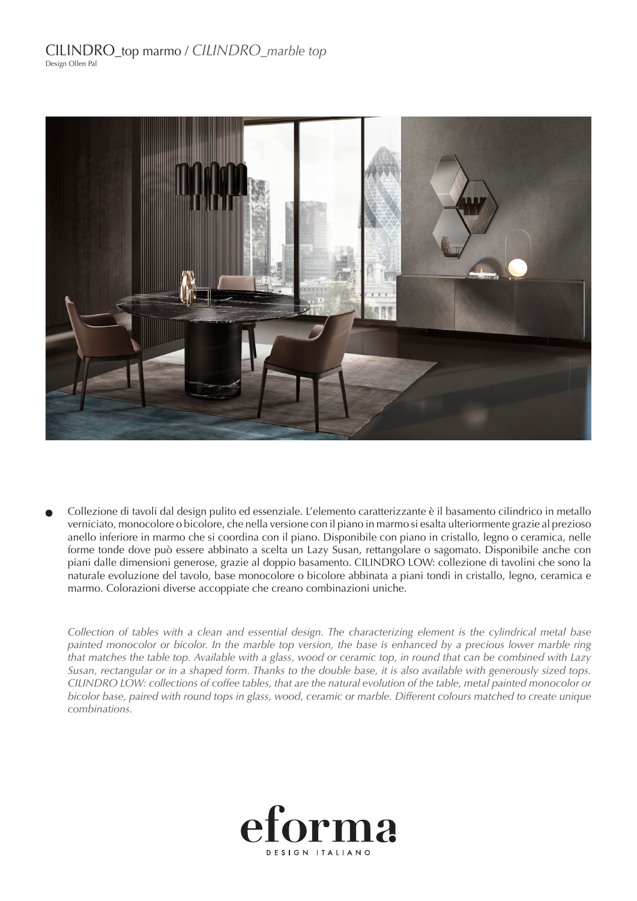

Collezione di tavoli dal design pulito ed essenziale. L'elemento caratterizzante è il basamento cilindrico in metallo verniciato, monocolore o bicolore, che nella versione con il piano in marmo si esalta ulteriormente grazie al prezioso anello inferiore in marmo che si coordina con il piano. Disponibile con piano in cristallo, legno o ceramica, nelle forme tonde dove può essere abbinato a scelta un Lazy Susan, rettangolare o sagomato. Disponibile anche con piani dalle dimensioni generose, grazie al doppio basamento. CILINDRO LOW: collezione di tavolini che sono la naturale evoluzione del tavolo, base monocolore o bicolore abbinata a piani tondi in cristallo, legno, ceramica e marmo. Colorazioni diverse accoppiate che creano combinazioni uniche.

*Collection of tables with a clean and essential design. The characterizing element is the cylindrical metal base painted monocolor or bicolor. In the marble top version, the base is enhanced by a precious lower marble ring that matches the table top. Available with a glass, wood or ceramic top, in round that can be combined with Lazy Susan, rectangular or in a shaped form. Thanks to the double base, it is also available with generously sized tops. CILINDRO LOW: collections of coffee tables, that are the natural evolution of the table, metal painted monocolor or bicolor base, paired with round tops in glass, wood, ceramic or marble. Different colours matched to create unique combinations.*

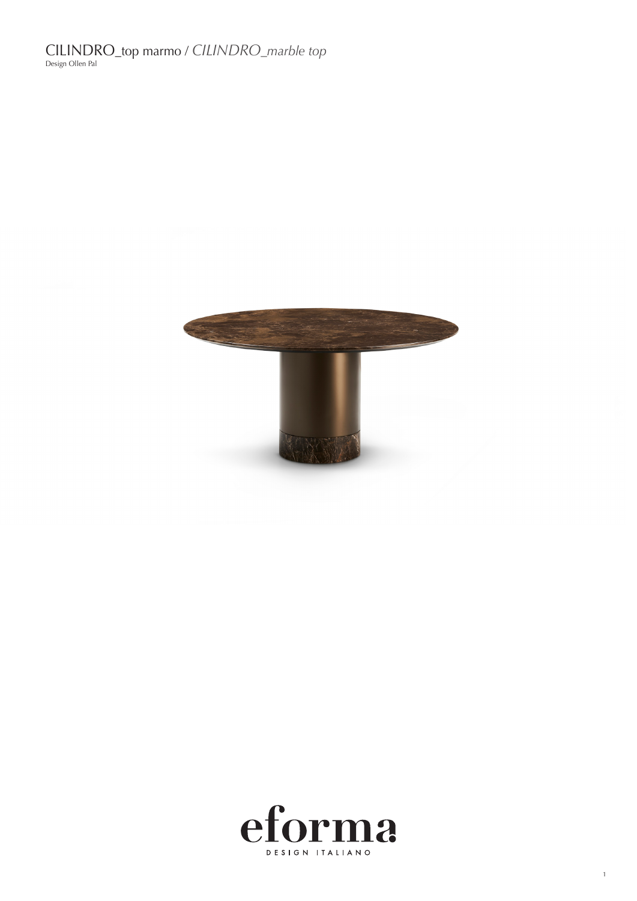CILINDRO\_top marmo / *CILINDRO\_marble top* Design Ollen Pal





1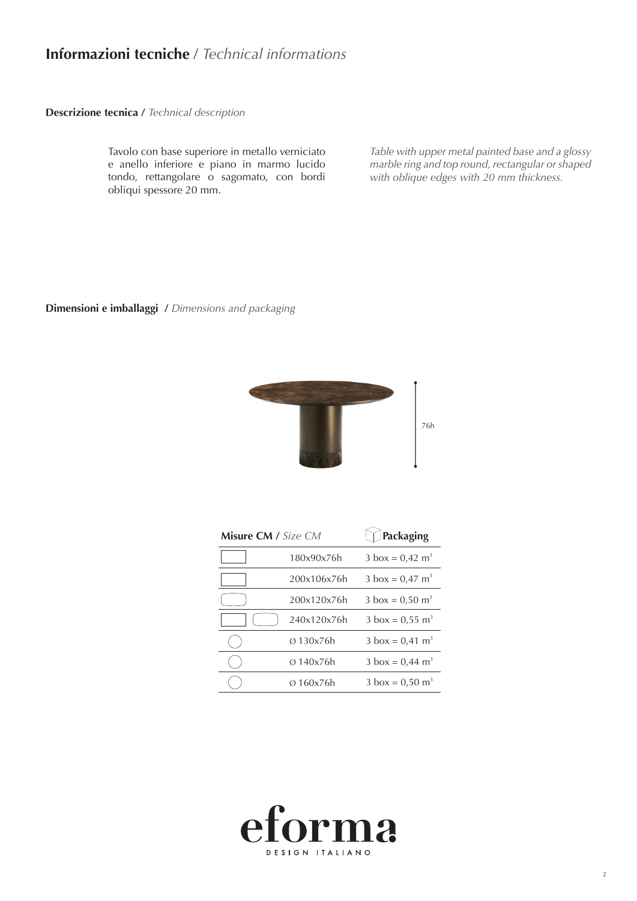# **Informazioni tecniche** / *Technical informations*

**Descrizione tecnica /** *Technical description*

Tavolo con base superiore in metallo verniciato e anello inferiore e piano in marmo lucido tondo, rettangolare o sagomato, con bordi obliqui spessore 20 mm.

*Table with upper metal painted base and a glossy marble ring and top round, rectangular or shaped with oblique edges with 20 mm thickness.*

#### **Dimensioni e imballaggi /** *Dimensions and packaging*



 $\sim$ 

| <b>Misure CM</b> / Size CM |             | Packaging                          |
|----------------------------|-------------|------------------------------------|
|                            | 180x90x76h  | $3 \text{ box} = 0.42 \text{ m}^3$ |
|                            | 200x106x76h | $3 \text{ box} = 0.47 \text{ m}^3$ |
|                            | 200x120x76h | $3 \text{ box} = 0.50 \text{ m}^3$ |
|                            | 240x120x76h | 3 box = $0,55$ m <sup>3</sup>      |
|                            | Ø 130x76h   | $3 \text{ box} = 0.41 \text{ m}^3$ |
|                            | Ø 140x76h   | $3 \text{ box} = 0.44 \text{ m}^3$ |
|                            | Ø 160x76h   | $3 \text{ box} = 0.50 \text{ m}^3$ |